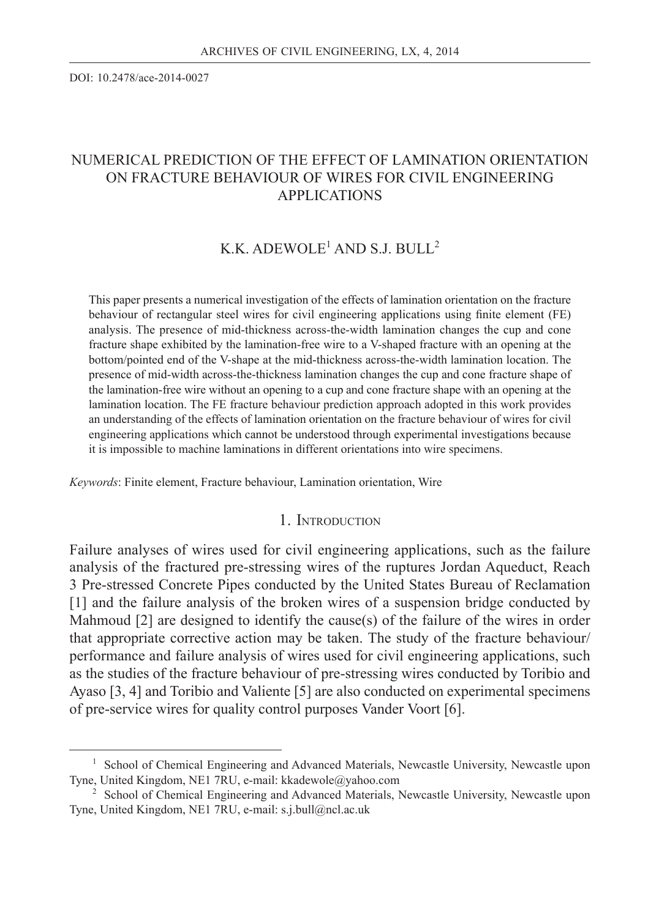DOI: 10.2478/ace-2014-0027

### NUMERICAL PREDICTION OF THE EFFECT OF LAMINATION ORIENTATION ON FRACTURE BEHAVIOUR OF WIRES FOR CIVIL ENGINEERING APPLICATIONS

### K.K. ADEWOLE<sup>1</sup> AND S.J. BULL<sup>2</sup>

This paper presents a numerical investigation of the effects of lamination orientation on the fracture behaviour of rectangular steel wires for civil engineering applications using finite element (FE) analysis. The presence of mid-thickness across-the-width lamination changes the cup and cone fracture shape exhibited by the lamination-free wire to a V-shaped fracture with an opening at the bottom/pointed end of the V-shape at the mid-thickness across-the-width lamination location. The presence of mid-width across-the-thickness lamination changes the cup and cone fracture shape of the lamination-free wire without an opening to a cup and cone fracture shape with an opening at the lamination location. The FE fracture behaviour prediction approach adopted in this work provides an understanding of the effects of lamination orientation on the fracture behaviour of wires for civil engineering applications which cannot be understood through experimental investigations because it is impossible to machine laminations in different orientations into wire specimens.

 *Keywords*: Finite element, Fracture behaviour, Lamination orientation, Wire

#### 1. INTRODUCTION

Failure analyses of wires used for civil engineering applications, such as the failure analysis of the fractured pre-stressing wires of the ruptures Jordan Aqueduct, Reach 3 Pre-stressed Concrete Pipes conducted by the United States Bureau of Reclamation [1] and the failure analysis of the broken wires of a suspension bridge conducted by Mahmoud [2] are designed to identify the cause(s) of the failure of the wires in order that appropriate corrective action may be taken. The study of the fracture behaviour/ performance and failure analysis of wires used for civil engineering applications, such as the studies of the fracture behaviour of pre-stressing wires conducted by Toribio and Ayaso [3, 4] and Toribio and Valiente [5] are also conducted on experimental specimens of pre-service wires for quality control purposes Vander Voort [6].

<sup>&</sup>lt;sup>1</sup> School of Chemical Engineering and Advanced Materials, Newcastle University, Newcastle upon Tyne, United Kingdom, NE1 7RU, e-mail: kkadewole@yahoo.com

<sup>&</sup>lt;sup>2</sup> School of Chemical Engineering and Advanced Materials, Newcastle University, Newcastle upon Tyne, United Kingdom, NE1 7RU, e-mail: s.j.bull@ncl.ac.uk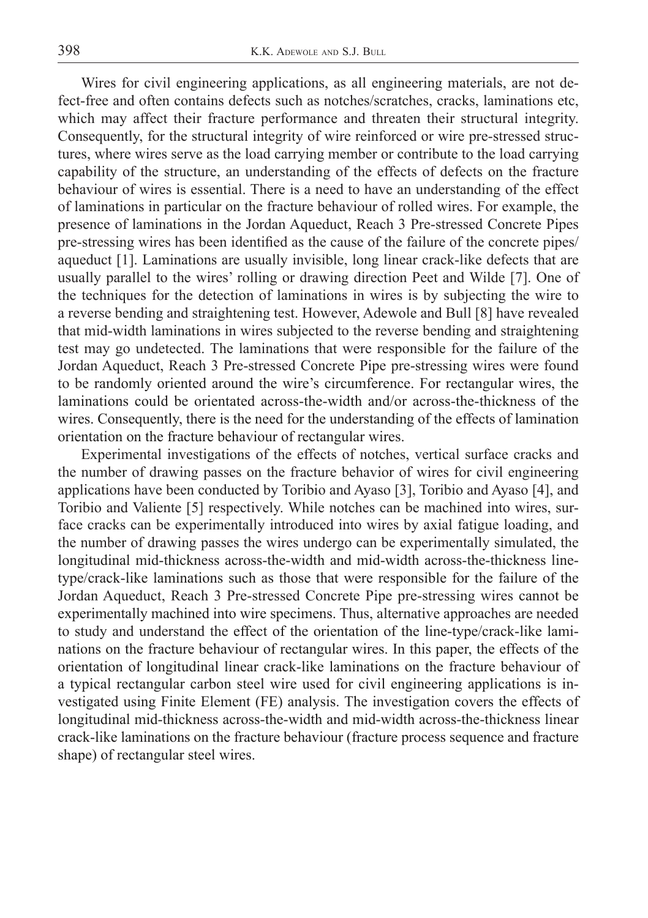Wires for civil engineering applications, as all engineering materials, are not defect-free and often contains defects such as notches/scratches, cracks, laminations etc, which may affect their fracture performance and threaten their structural integrity. Consequently, for the structural integrity of wire reinforced or wire pre-stressed structures, where wires serve as the load carrying member or contribute to the load carrying capability of the structure, an understanding of the effects of defects on the fracture behaviour of wires is essential. There is a need to have an understanding of the effect of laminations in particular on the fracture behaviour of rolled wires. For example, the presence of laminations in the Jordan Aqueduct, Reach 3 Pre-stressed Concrete Pipes pre-stressing wires has been identified as the cause of the failure of the concrete pipes/ aqueduct [1]. Laminations are usually invisible, long linear crack-like defects that are usually parallel to the wires' rolling or drawing direction Peet and Wilde [7]. One of the techniques for the detection of laminations in wires is by subjecting the wire to a reverse bending and straightening test. However, Adewole and Bull [8] have revealed that mid-width laminations in wires subjected to the reverse bending and straightening test may go undetected. The laminations that were responsible for the failure of the Jordan Aqueduct, Reach 3 Pre-stressed Concrete Pipe pre-stressing wires were found to be randomly oriented around the wire's circumference. For rectangular wires, the laminations could be orientated across-the-width and/or across-the-thickness of the wires. Consequently, there is the need for the understanding of the effects of lamination orientation on the fracture behaviour of rectangular wires.

Experimental investigations of the effects of notches, vertical surface cracks and the number of drawing passes on the fracture behavior of wires for civil engineering applications have been conducted by Toribio and Ayaso [3], Toribio and Ayaso [4], and Toribio and Valiente [5] respectively. While notches can be machined into wires, surface cracks can be experimentally introduced into wires by axial fatigue loading, and the number of drawing passes the wires undergo can be experimentally simulated, the longitudinal mid-thickness across-the-width and mid-width across-the-thickness linetype/crack-like laminations such as those that were responsible for the failure of the Jordan Aqueduct, Reach 3 Pre-stressed Concrete Pipe pre-stressing wires cannot be experimentally machined into wire specimens. Thus, alternative approaches are needed to study and understand the effect of the orientation of the line-type/crack-like laminations on the fracture behaviour of rectangular wires. In this paper, the effects of the orientation of longitudinal linear crack-like laminations on the fracture behaviour of a typical rectangular carbon steel wire used for civil engineering applications is investigated using Finite Element (FE) analysis. The investigation covers the effects of longitudinal mid-thickness across-the-width and mid-width across-the-thickness linear crack-like laminations on the fracture behaviour (fracture process sequence and fracture shape) of rectangular steel wires.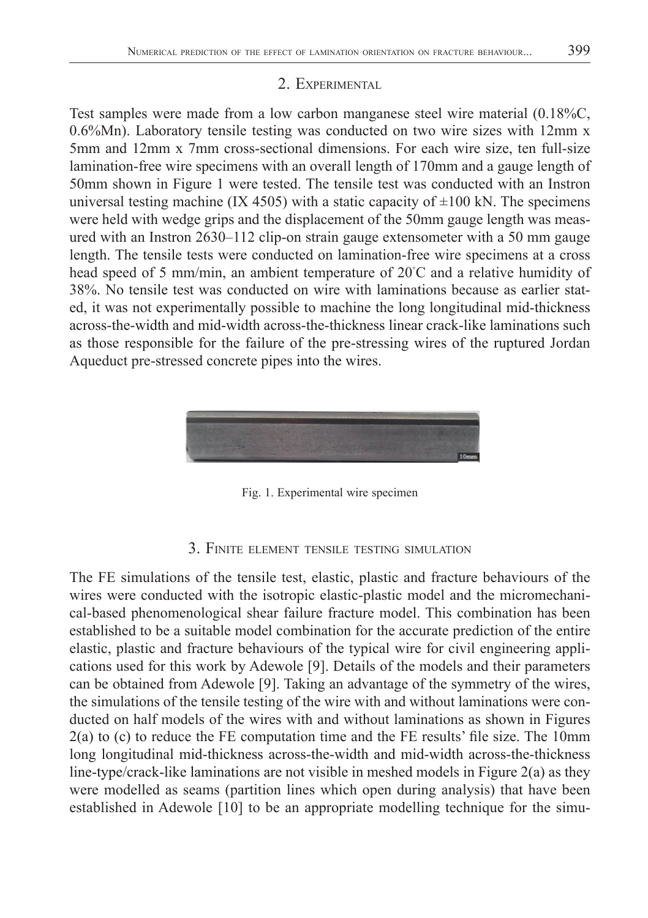### 2. EXPERIMENTAL

Test samples were made from a low carbon manganese steel wire material (0.18%C, 0.6%Mn). Laboratory tensile testing was conducted on two wire sizes with 12mm x 5mm and 12mm x 7mm cross-sectional dimensions. For each wire size, ten full-size lamination-free wire specimens with an overall length of 170mm and a gauge length of 50mm shown in Figure 1 were tested. The tensile test was conducted with an Instron universal testing machine (IX 4505) with a static capacity of  $\pm 100$  kN. The specimens were held with wedge grips and the displacement of the 50mm gauge length was measured with an Instron 2630–112 clip-on strain gauge extensometer with a 50 mm gauge length. The tensile tests were conducted on lamination-free wire specimens at a cross head speed of 5 mm/min, an ambient temperature of 20℃ and a relative humidity of 38%. No tensile test was conducted on wire with laminations because as earlier stated, it was not experimentally possible to machine the long longitudinal mid-thickness across-the-width and mid-width across-the-thickness linear crack-like laminations such as those responsible for the failure of the pre-stressing wires of the ruptured Jordan Aqueduct pre-stressed concrete pipes into the wires.



Fig. 1. Experimental wire specimen

### 3. FINITE ELEMENT TENSILE TESTING SIMULATION

The FE simulations of the tensile test, elastic, plastic and fracture behaviours of the wires were conducted with the isotropic elastic-plastic model and the micromechanical-based phenomenological shear failure fracture model. This combination has been established to be a suitable model combination for the accurate prediction of the entire elastic, plastic and fracture behaviours of the typical wire for civil engineering applications used for this work by Adewole [9]. Details of the models and their parameters can be obtained from Adewole [9]. Taking an advantage of the symmetry of the wires, the simulations of the tensile testing of the wire with and without laminations were conducted on half models of the wires with and without laminations as shown in Figures  $2(a)$  to (c) to reduce the FE computation time and the FE results' file size. The 10mm long longitudinal mid-thickness across-the-width and mid-width across-the-thickness line-type/crack-like laminations are not visible in meshed models in Figure 2(a) as they were modelled as seams (partition lines which open during analysis) that have been established in Adewole [10] to be an appropriate modelling technique for the simu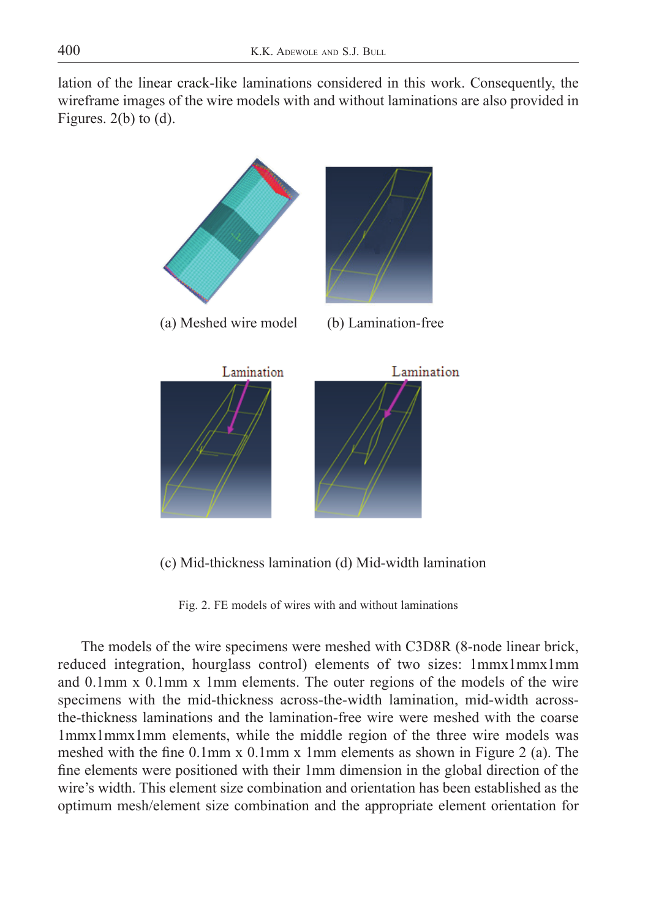lation of the linear crack-like laminations considered in this work. Consequently, the wireframe images of the wire models with and without laminations are also provided in Figures.  $2(b)$  to  $(d)$ .



(c) Mid-thickness lamination (d) Mid-width lamination

Fig. 2. FE models of wires with and without laminations

The models of the wire specimens were meshed with C3D8R (8-node linear brick, reduced integration, hourglass control) elements of two sizes: 1mmx1mmx1mm and 0.1mm x 0.1mm x 1mm elements. The outer regions of the models of the wire specimens with the mid-thickness across-the-width lamination, mid-width acrossthe-thickness laminations and the lamination-free wire were meshed with the coarse 1mmx1mmx1mm elements, while the middle region of the three wire models was meshed with the fine  $0.1$ mm x  $0.1$ mm x 1mm elements as shown in Figure 2 (a). The fine elements were positioned with their 1mm dimension in the global direction of the wire's width. This element size combination and orientation has been established as the optimum mesh/element size combination and the appropriate element orientation for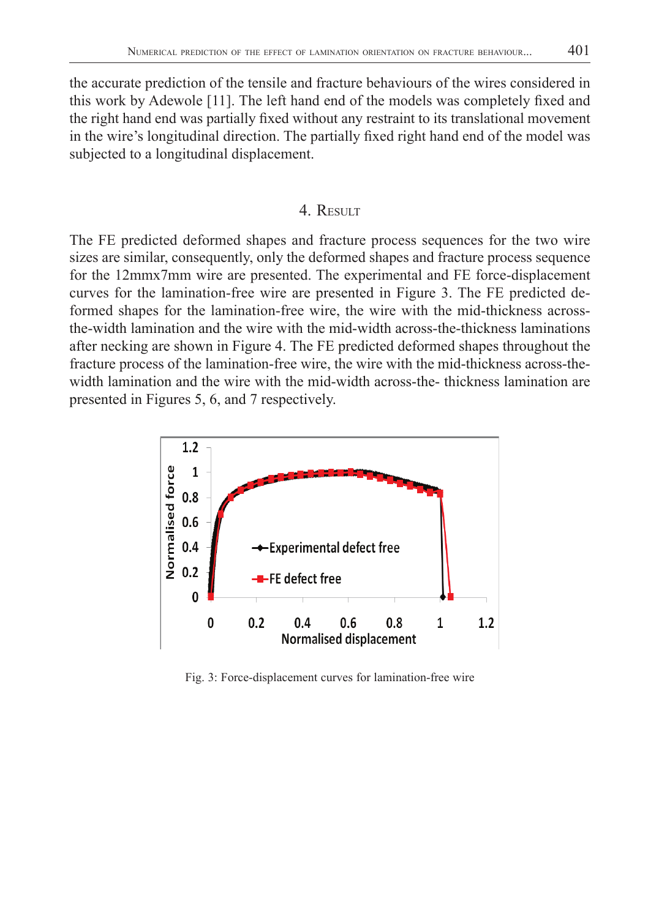the accurate prediction of the tensile and fracture behaviours of the wires considered in this work by Adewole  $[11]$ . The left hand end of the models was completely fixed and the right hand end was partially fixed without any restraint to its translational movement in the wire's longitudinal direction. The partially fixed right hand end of the model was subjected to a longitudinal displacement.

### 4 RESULT

The FE predicted deformed shapes and fracture process sequences for the two wire sizes are similar, consequently, only the deformed shapes and fracture process sequence for the 12mmx7mm wire are presented. The experimental and FE force-displacement curves for the lamination-free wire are presented in Figure 3. The FE predicted deformed shapes for the lamination-free wire, the wire with the mid-thickness acrossthe-width lamination and the wire with the mid-width across-the-thickness laminations after necking are shown in Figure 4. The FE predicted deformed shapes throughout the fracture process of the lamination-free wire, the wire with the mid-thickness across-thewidth lamination and the wire with the mid-width across-the- thickness lamination are presented in Figures 5, 6, and 7 respectively.



Fig. 3: Force-displacement curves for lamination-free wire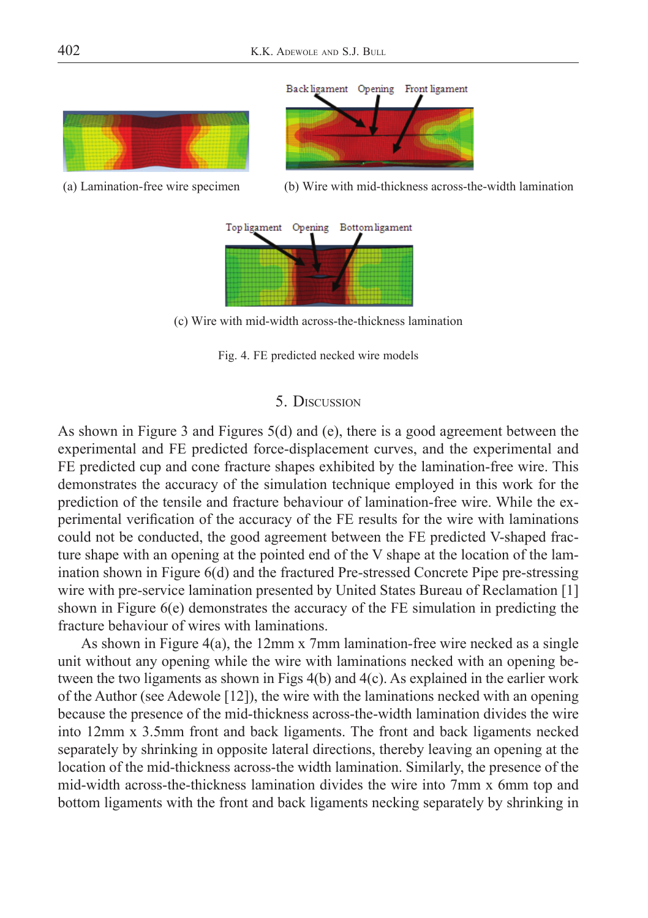

(a) Lamination-free wire specimen (b) Wire with mid-thickness across-the-width lamination



(c) Wire with mid-width across-the-thickness lamination

Fig. 4. FE predicted necked wire models

### 5. DISCUSSION

As shown in Figure 3 and Figures 5(d) and (e), there is a good agreement between the experimental and FE predicted force-displacement curves, and the experimental and FE predicted cup and cone fracture shapes exhibited by the lamination-free wire. This demonstrates the accuracy of the simulation technique employed in this work for the prediction of the tensile and fracture behaviour of lamination-free wire. While the experimental verification of the accuracy of the FE results for the wire with laminations could not be conducted, the good agreement between the FE predicted V-shaped fracture shape with an opening at the pointed end of the V shape at the location of the lamination shown in Figure 6(d) and the fractured Pre-stressed Concrete Pipe pre-stressing wire with pre-service lamination presented by United States Bureau of Reclamation [1] shown in Figure 6(e) demonstrates the accuracy of the FE simulation in predicting the fracture behaviour of wires with laminations.

As shown in Figure 4(a), the 12mm x 7mm lamination-free wire necked as a single unit without any opening while the wire with laminations necked with an opening between the two ligaments as shown in Figs 4(b) and 4(c). As explained in the earlier work of the Author (see Adewole [12]), the wire with the laminations necked with an opening because the presence of the mid-thickness across-the-width lamination divides the wire into 12mm x 3.5mm front and back ligaments. The front and back ligaments necked separately by shrinking in opposite lateral directions, thereby leaving an opening at the location of the mid-thickness across-the width lamination. Similarly, the presence of the mid-width across-the-thickness lamination divides the wire into 7mm x 6mm top and bottom ligaments with the front and back ligaments necking separately by shrinking in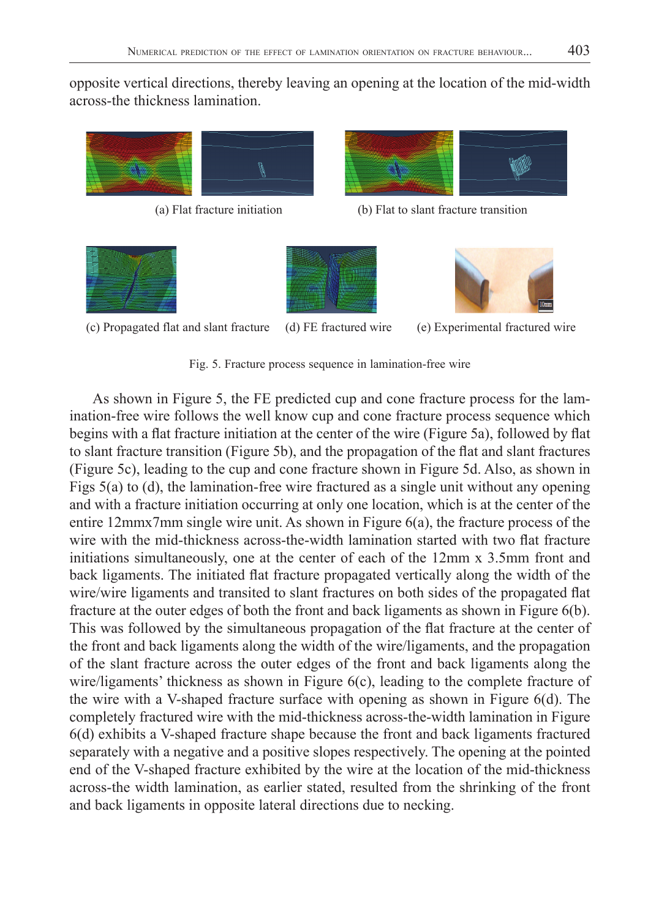opposite vertical directions, thereby leaving an opening at the location of the mid-width across-the thickness lamination.



(a) Flat fracture initiation (b) Flat to slant fracture transition







(c) Propagated flat and slant fracture (d) FE fractured wire (e) Experimental fractured wire

Fig. 5. Fracture process sequence in lamination-free wire

As shown in Figure 5, the FE predicted cup and cone fracture process for the lamination-free wire follows the well know cup and cone fracture process sequence which begins with a flat fracture initiation at the center of the wire (Figure 5a), followed by flat to slant fracture transition (Figure 5b), and the propagation of the flat and slant fractures (Figure 5c), leading to the cup and cone fracture shown in Figure 5d. Also, as shown in Figs 5(a) to (d), the lamination-free wire fractured as a single unit without any opening and with a fracture initiation occurring at only one location, which is at the center of the entire 12mmx7mm single wire unit. As shown in Figure 6(a), the fracture process of the wire with the mid-thickness across-the-width lamination started with two flat fracture initiations simultaneously, one at the center of each of the 12mm x 3.5mm front and back ligaments. The initiated flat fracture propagated vertically along the width of the wire/wire ligaments and transited to slant fractures on both sides of the propagated flat fracture at the outer edges of both the front and back ligaments as shown in Figure 6(b). This was followed by the simultaneous propagation of the flat fracture at the center of the front and back ligaments along the width of the wire/ligaments, and the propagation of the slant fracture across the outer edges of the front and back ligaments along the wire/ligaments' thickness as shown in Figure 6(c), leading to the complete fracture of the wire with a V-shaped fracture surface with opening as shown in Figure 6(d). The completely fractured wire with the mid-thickness across-the-width lamination in Figure 6(d) exhibits a V-shaped fracture shape because the front and back ligaments fractured separately with a negative and a positive slopes respectively. The opening at the pointed end of the V-shaped fracture exhibited by the wire at the location of the mid-thickness across-the width lamination, as earlier stated, resulted from the shrinking of the front and back ligaments in opposite lateral directions due to necking.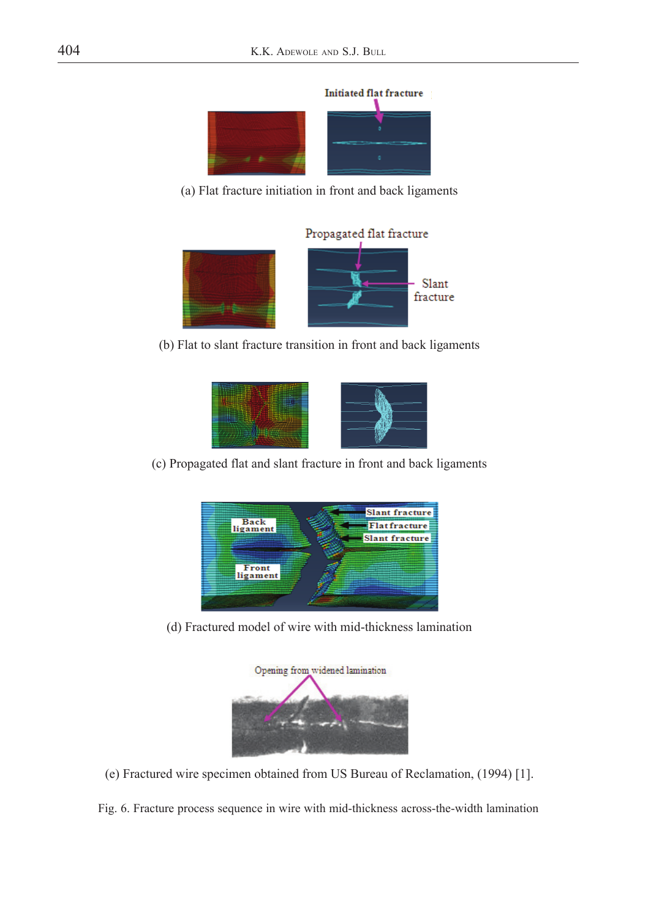

(a) Flat fracture initiation in front and back ligaments



(b) Flat to slant fracture transition in front and back ligaments



(c) Propagated flat and slant fracture in front and back ligaments



(d) Fractured model of wire with mid-thickness lamination



(e) Fractured wire specimen obtained from US Bureau of Reclamation, (1994) [1].

Fig. 6. Fracture process sequence in wire with mid-thickness across-the-width lamination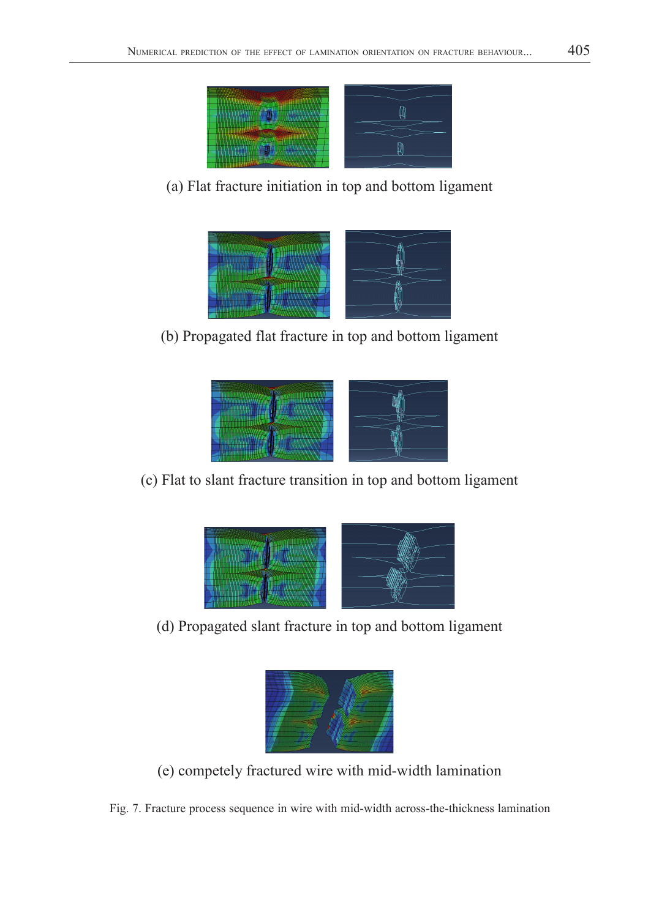

## (a) Flat fracture initiation in top and bottom ligament



# (b) Propagated flat fracture in top and bottom ligament



## (c) Flat to slant fracture transition in top and bottom ligament



## (d) Propagated slant fracture in top and bottom ligament



(e) competely fractured wire with mid-width lamination

Fig. 7. Fracture process sequence in wire with mid-width across-the-thickness lamination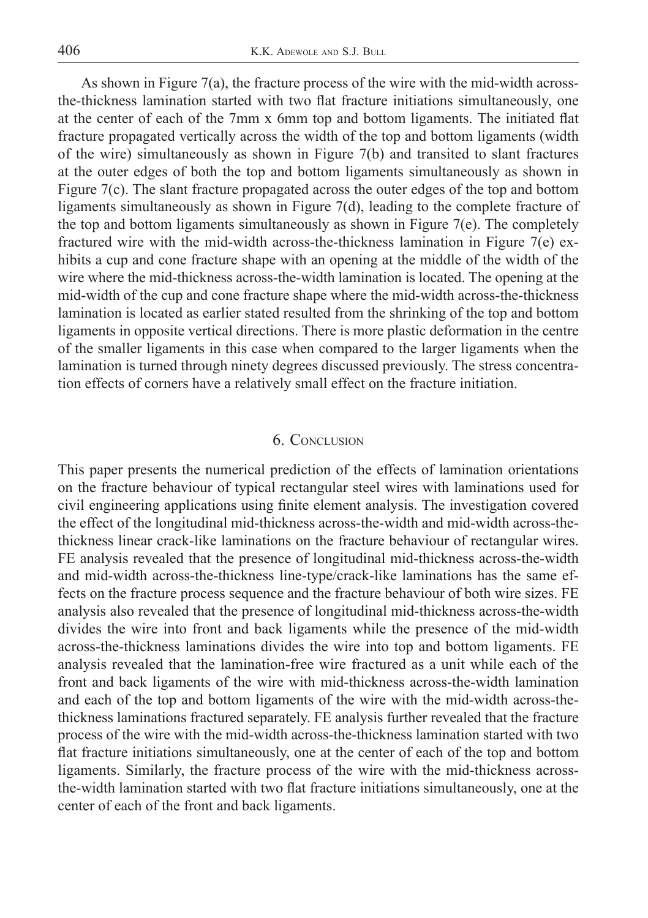As shown in Figure 7(a), the fracture process of the wire with the mid-width acrossthe-thickness lamination started with two flat fracture initiations simultaneously, one at the center of each of the 7mm  $x$  6mm top and bottom ligaments. The initiated flat fracture propagated vertically across the width of the top and bottom ligaments (width of the wire) simultaneously as shown in Figure 7(b) and transited to slant fractures at the outer edges of both the top and bottom ligaments simultaneously as shown in Figure 7(c). The slant fracture propagated across the outer edges of the top and bottom ligaments simultaneously as shown in Figure 7(d), leading to the complete fracture of the top and bottom ligaments simultaneously as shown in Figure 7(e). The completely fractured wire with the mid-width across-the-thickness lamination in Figure 7(e) exhibits a cup and cone fracture shape with an opening at the middle of the width of the wire where the mid-thickness across-the-width lamination is located. The opening at the mid-width of the cup and cone fracture shape where the mid-width across-the-thickness lamination is located as earlier stated resulted from the shrinking of the top and bottom ligaments in opposite vertical directions. There is more plastic deformation in the centre of the smaller ligaments in this case when compared to the larger ligaments when the lamination is turned through ninety degrees discussed previously. The stress concentration effects of corners have a relatively small effect on the fracture initiation.

#### 6. CONCLUSION

This paper presents the numerical prediction of the effects of lamination orientations on the fracture behaviour of typical rectangular steel wires with laminations used for civil engineering applications using finite element analysis. The investigation covered the effect of the longitudinal mid-thickness across-the-width and mid-width across-thethickness linear crack-like laminations on the fracture behaviour of rectangular wires. FE analysis revealed that the presence of longitudinal mid-thickness across-the-width and mid-width across-the-thickness line-type/crack-like laminations has the same effects on the fracture process sequence and the fracture behaviour of both wire sizes. FE analysis also revealed that the presence of longitudinal mid-thickness across-the-width divides the wire into front and back ligaments while the presence of the mid-width across-the-thickness laminations divides the wire into top and bottom ligaments. FE analysis revealed that the lamination-free wire fractured as a unit while each of the front and back ligaments of the wire with mid-thickness across-the-width lamination and each of the top and bottom ligaments of the wire with the mid-width across-thethickness laminations fractured separately. FE analysis further revealed that the fracture process of the wire with the mid-width across-the-thickness lamination started with two flat fracture initiations simultaneously, one at the center of each of the top and bottom ligaments. Similarly, the fracture process of the wire with the mid-thickness acrossthe-width lamination started with two flat fracture initiations simultaneously, one at the center of each of the front and back ligaments.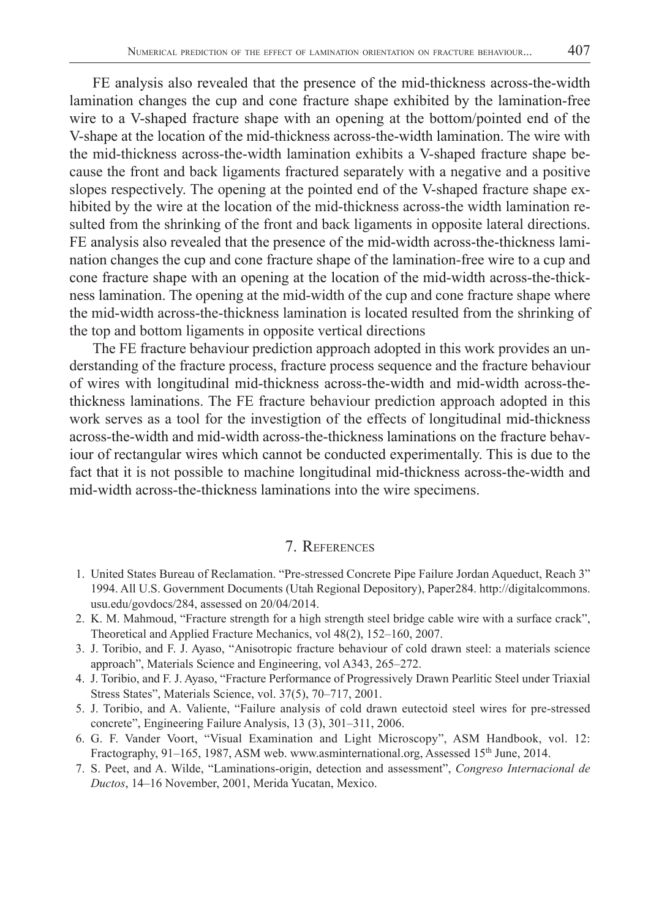FE analysis also revealed that the presence of the mid-thickness across-the-width lamination changes the cup and cone fracture shape exhibited by the lamination-free wire to a V-shaped fracture shape with an opening at the bottom/pointed end of the V-shape at the location of the mid-thickness across-the-width lamination. The wire with the mid-thickness across-the-width lamination exhibits a V-shaped fracture shape because the front and back ligaments fractured separately with a negative and a positive slopes respectively. The opening at the pointed end of the V-shaped fracture shape exhibited by the wire at the location of the mid-thickness across-the width lamination resulted from the shrinking of the front and back ligaments in opposite lateral directions. FE analysis also revealed that the presence of the mid-width across-the-thickness lamination changes the cup and cone fracture shape of the lamination-free wire to a cup and cone fracture shape with an opening at the location of the mid-width across-the-thickness lamination. The opening at the mid-width of the cup and cone fracture shape where the mid-width across-the-thickness lamination is located resulted from the shrinking of the top and bottom ligaments in opposite vertical directions

The FE fracture behaviour prediction approach adopted in this work provides an understanding of the fracture process, fracture process sequence and the fracture behaviour of wires with longitudinal mid-thickness across-the-width and mid-width across-thethickness laminations. The FE fracture behaviour prediction approach adopted in this work serves as a tool for the investigtion of the effects of longitudinal mid-thickness across-the-width and mid-width across-the-thickness laminations on the fracture behaviour of rectangular wires which cannot be conducted experimentally. This is due to the fact that it is not possible to machine longitudinal mid-thickness across-the-width and mid-width across-the-thickness laminations into the wire specimens.

### 7. REFERENCES

- 1. United States Bureau of Reclamation. "Pre-stressed Concrete Pipe Failure Jordan Aqueduct, Reach 3" 1994. All U.S. Government Documents (Utah Regional Depository), Paper284. http://digitalcommons. usu.edu/govdocs/284, assessed on 20/04/2014.
- 2. K. M. Mahmoud, "Fracture strength for a high strength steel bridge cable wire with a surface crack", Theoretical and Applied Fracture Mechanics, vol 48(2), 152–160, 2007.
- 3. J. Toribio, and F. J. Ayaso, "Anisotropic fracture behaviour of cold drawn steel: a materials science approach", Materials Science and Engineering, vol A343, 265–272.
- 4. J. Toribio, and F. J. Ayaso, "Fracture Performance of Progressively Drawn Pearlitic Steel under Triaxial Stress States", Materials Science, vol. 37(5), 70–717, 2001.
- 5. J. Toribio, and A. Valiente, "Failure analysis of cold drawn eutectoid steel wires for pre-stressed concrete", Engineering Failure Analysis, 13 (3), 301–311, 2006.
- 6. G. F. Vander Voort, "Visual Examination and Light Microscopy", ASM Handbook, vol. 12: Fractography, 91-165, 1987, ASM web. www.asminternational.org, Assessed 15<sup>th</sup> June, 2014.
- 7. S. Peet, and A. Wilde, "Laminations-origin, detection and assessment", *Congreso Internacional de Ductos*, 14–16 November, 2001, Merida Yucatan, Mexico.